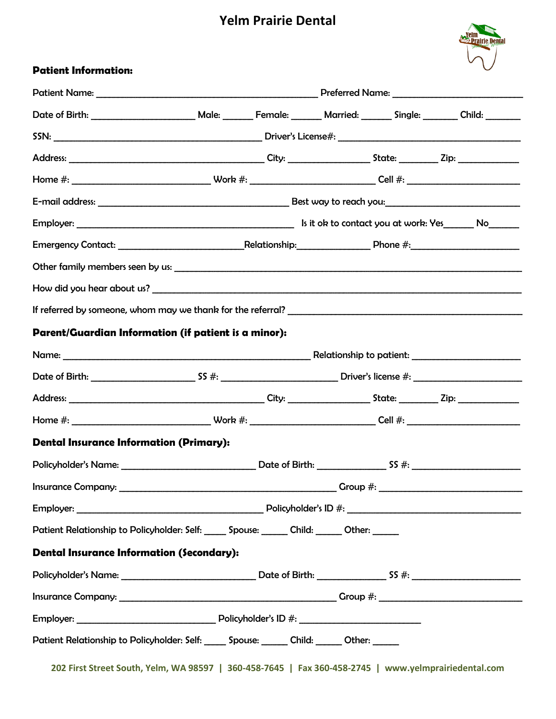## **Yelm Prairie Dental**



### **Patient Information:**

| Parent/Guardian Information (if patient is a minor):                                           |  |  |  |  |  |  |
|------------------------------------------------------------------------------------------------|--|--|--|--|--|--|
|                                                                                                |  |  |  |  |  |  |
|                                                                                                |  |  |  |  |  |  |
|                                                                                                |  |  |  |  |  |  |
|                                                                                                |  |  |  |  |  |  |
| <b>Dental Insurance Information (Primary):</b>                                                 |  |  |  |  |  |  |
|                                                                                                |  |  |  |  |  |  |
|                                                                                                |  |  |  |  |  |  |
|                                                                                                |  |  |  |  |  |  |
| Patient Relationship to Policyholder: Self: ______ Spouse: _______ Child: ______ Other: ______ |  |  |  |  |  |  |
| <b>Dental Insurance Information (Secondary):</b>                                               |  |  |  |  |  |  |
|                                                                                                |  |  |  |  |  |  |
|                                                                                                |  |  |  |  |  |  |
|                                                                                                |  |  |  |  |  |  |
| Patient Relationship to Policyholder: Self: _____ Spouse: ______ Child: _____ Other: _____     |  |  |  |  |  |  |

**202 First Street South, Yelm, WA 98597 | 360-458-7645 | Fax 360-458-2745 | www.yelmprairiedental.com**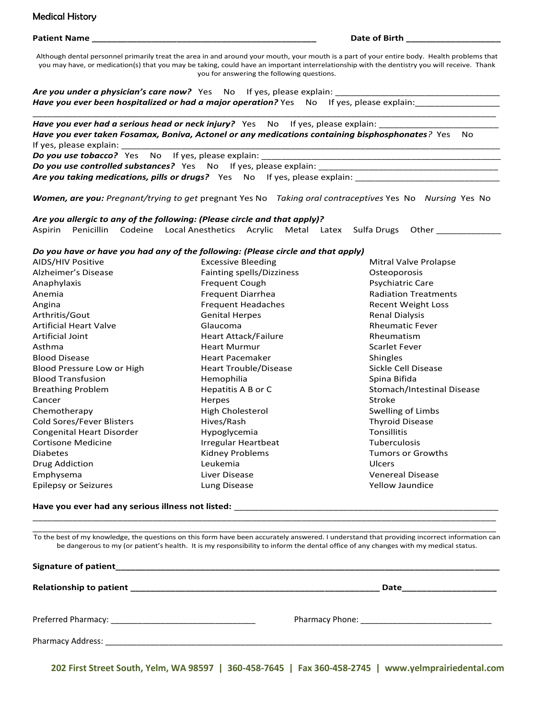#### Medical History **Medical History**

Patient Name **Date of Birth Allen According to the Contract Oriental According to the Contract Oriental According to the Contract of Birth**  $\sim$  **0.010**  $\sim$  **0.010**  $\sim$  **0.010**  $\sim$  **0.010**  $\sim$  **0.010**  $\sim$  **0.010**  $\sim$  **0.010**  $\sim$  **0** 

Although dental personnel primarily treat the area in and around your mouth, your mouth is a part of your entire body. Health problems that you may have, or medication(s) that you may be taking, could have an important interrelationship with the dentistry you will receive. Thank you for answering the following questions.

\_\_\_\_\_\_\_\_\_\_\_\_\_\_\_\_\_\_\_\_\_\_\_\_\_\_\_\_\_\_\_\_\_\_\_\_\_\_\_\_\_\_\_\_\_\_\_\_\_\_\_\_\_\_\_\_\_\_\_\_\_\_\_\_\_\_\_\_\_\_\_\_\_\_\_\_\_\_\_\_\_\_\_\_\_\_\_\_\_\_\_\_\_

Are you under a physician's care now? Yes No If yes, please explain: \_ *Have you ever been hospitalized or had a major operation?* Yes No If yes, please explain:

Have you ever had a serious head or neck injury? Yes No If yes, please explain: *Have you ever taken Fosamax, Boniva, Actonel or any medications containing bisphosphonates?* Yes No If yes, please explain: **Do you use tobacco?** Yes No If yes, please explain:

**Do you use controlled substances?** Yes No If yes, please explain: Are you taking medications, pills or drugs? Yes No If yes, please explain:

*Women, are you: Pregnant/trying to get* pregnant Yes No *Taking oral contraceptives* Yes No *Nursing* Yes No

*Are you allergic to any of the following: (Please circle and that apply)?* Aspirin Penicillin Codeine Local Anesthetics Acrylic Metal Latex Sulfa Drugs Other

#### *Do you have or have you had any of the following: (Please circle and that apply)*

AIDS/HIV Positive Alzheimer's Disease Anaphylaxis Anemia Angina Arthritis/Gout Artificial Heart Valve Artificial Joint Asthma Blood Disease Blood Pressure Low or High Blood Transfusion Breathing Problem Cancer Chemotherapy Cold Sores/Fever Blisters Congenital Heart Disorder Cortisone Medicine Diabetes Drug Addiction Emphysema Epilepsy or Seizures Excessive Bleeding Fainting spells/Dizziness Frequent Cough Frequent Diarrhea Frequent Headaches Genital Herpes Glaucoma Heart Attack/Failure Heart Murmur Heart Pacemaker Heart Trouble/Disease Hemophilia Hepatitis A B or C Herpes High Cholesterol Hives/Rash Hypoglycemia Irregular Heartbeat Kidney Problems Leukemia Liver Disease Lung Disease Mitral Valve Prolapse **Osteoporosis** Psychiatric Care Radiation Treatments Recent Weight Loss Renal Dialysis Rheumatic Fever Rheumatism Scarlet Fever Shingles Sickle Cell Disease Spina Bifida Stomach/Intestinal Disease Stroke Swelling of Limbs Thyroid Disease **Tonsillitis** Tuberculosis Tumors or Growths Ulcers Venereal Disease Yellow Jaundice

**Have you ever had any serious illness not listed:** \_\_\_\_\_\_\_\_\_\_\_\_\_\_\_\_\_\_\_\_\_\_\_\_\_\_\_\_\_\_\_\_\_\_\_\_\_\_\_\_\_\_\_\_\_\_\_\_\_\_\_\_\_

\_\_\_\_\_\_\_\_\_\_\_\_\_\_\_\_\_\_\_\_\_\_\_\_\_\_\_\_\_\_\_\_\_\_\_\_\_\_\_\_\_\_\_\_\_\_\_\_\_\_\_\_\_\_\_\_\_\_\_\_\_\_\_\_\_\_\_\_\_\_\_\_\_\_\_\_\_\_\_\_\_\_\_\_\_\_\_\_\_\_\_\_\_ To the best of my knowledge, the questions on this form have been accurately answered. I understand that providing incorrect information can be dangerous to my (or patient's health. It is my responsibility to inform the dental office of any changes with my medical status.

\_\_\_\_\_\_\_\_\_\_\_\_\_\_\_\_\_\_\_\_\_\_\_\_\_\_\_\_\_\_\_\_\_\_\_\_\_\_\_\_\_\_\_\_\_\_\_\_\_\_\_\_\_\_\_\_\_\_\_\_\_\_\_\_\_\_\_\_\_\_\_\_\_\_\_\_\_\_\_\_\_\_\_\_\_\_\_\_\_\_\_\_\_

**202 First Street South, Yelm, WA 98597 | 360-458-7645 | Fax 360-458-2745 | www.yelmprairiedental.com**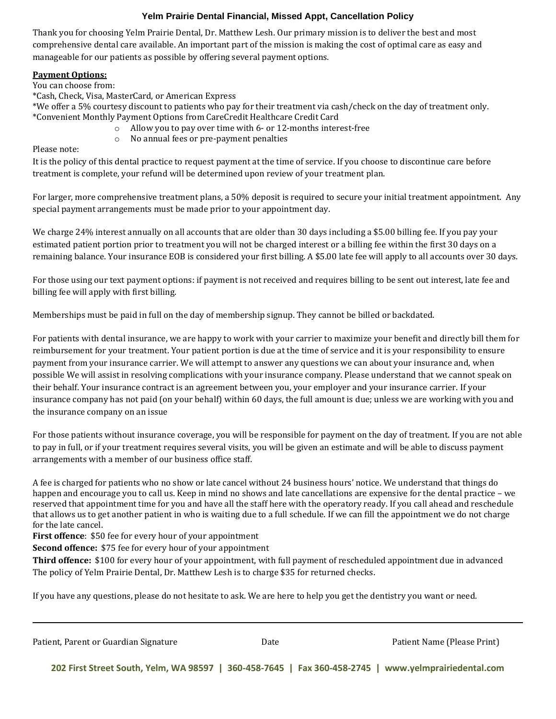#### **Yelm Prairie Dental Financial, Missed Appt, Cancellation Policy**

Thank you for choosing Yelm Prairie Dental, Dr. Matthew Lesh. Our primary mission is to deliver the best and most comprehensive dental care available. An important part of the mission is making the cost of optimal care as easy and manageable for our patients as possible by offering several payment options.

#### **Payment Options:**

You can choose from:

\*Cash, Check, Visa, MasterCard, or American Express

\*We offer a 5% courtesy discount to patients who pay for their treatment via cash/check on the day of treatment only. \*Convenient Monthly Payment Options from CareCredit Healthcare Credit Card

- o Allow you to pay over time with 6- or 12-months interest-free
- o No annual fees or pre-payment penalties

Please note:

It is the policy of this dental practice to request payment at the time of service. If you choose to discontinue care before treatment is complete, your refund will be determined upon review of your treatment plan.

For larger, more comprehensive treatment plans, a 50% deposit is required to secure your initial treatment appointment. Any special payment arrangements must be made prior to your appointment day.

We charge 24% interest annually on all accounts that are older than 30 days including a \$5.00 billing fee. If you pay your estimated patient portion prior to treatment you will not be charged interest or a billing fee within the first 30 days on a remaining balance. Your insurance EOB is considered your first billing. A \$5.00 late fee will apply to all accounts over 30 days.

For those using our text payment options: if payment is not received and requires billing to be sent out interest, late fee and billing fee will apply with first billing.

Memberships must be paid in full on the day of membership signup. They cannot be billed or backdated.

For patients with dental insurance, we are happy to work with your carrier to maximize your benefit and directly bill them for reimbursement for your treatment. Your patient portion is due at the time of service and it is your responsibility to ensure payment from your insurance carrier. We will attempt to answer any questions we can about your insurance and, when possible We will assist in resolving complications with your insurance company. Please understand that we cannot speak on their behalf. Your insurance contract is an agreement between you, your employer and your insurance carrier. If your insurance company has not paid (on your behalf) within 60 days, the full amount is due; unless we are working with you and the insurance company on an issue

For those patients without insurance coverage, you will be responsible for payment on the day of treatment. If you are not able to pay in full, or if your treatment requires several visits, you will be given an estimate and will be able to discuss payment arrangements with a member of our business office staff.

A fee is charged for patients who no show or late cancel without 24 business hours' notice. We understand that things do happen and encourage you to call us. Keep in mind no shows and late cancellations are expensive for the dental practice – we reserved that appointment time for you and have all the staff here with the operatory ready. If you call ahead and reschedule that allows us to get another patient in who is waiting due to a full schedule. If we can fill the appointment we do not charge for the late cancel.

**First offence**: \$50 fee for every hour of your appointment

**Second offence:** \$75 fee for every hour of your appointment

**Third offence:** \$100 for every hour of your appointment, with full payment of rescheduled appointment due in advanced The policy of Yelm Prairie Dental, Dr. Matthew Lesh is to charge \$35 for returned checks.

If you have any questions, please do not hesitate to ask. We are here to help you get the dentistry you want or need.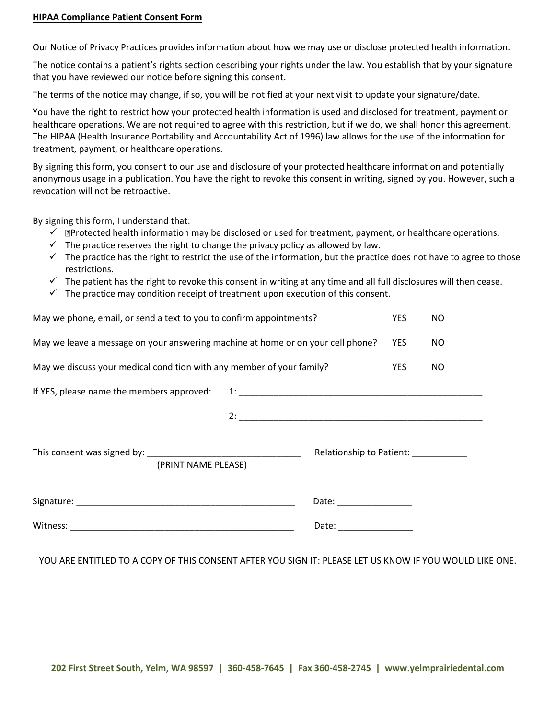#### **HIPAA Compliance Patient Consent Form**

Our Notice of Privacy Practices provides information about how we may use or disclose protected health information.

The notice contains a patient's rights section describing your rights under the law. You establish that by your signature that you have reviewed our notice before signing this consent.

The terms of the notice may change, if so, you will be notified at your next visit to update your signature/date.

You have the right to restrict how your protected health information is used and disclosed for treatment, payment or healthcare operations. We are not required to agree with this restriction, but if we do, we shall honor this agreement. The HIPAA (Health Insurance Portability and Accountability Act of 1996) law allows for the use of the information for treatment, payment, or healthcare operations.

By signing this form, you consent to our use and disclosure of your protected healthcare information and potentially anonymous usage in a publication. You have the right to revoke this consent in writing, signed by you. However, such a revocation will not be retroactive.

By signing this form, I understand that:

- $\check{\phantom{\phi}}$  **Protected health information may be disclosed or used for treatment, payment, or healthcare operations.**
- $\checkmark$  The practice reserves the right to change the privacy policy as allowed by law.
- $\checkmark$  The practice has the right to restrict the use of the information, but the practice does not have to agree to those restrictions.
- $\checkmark$  The patient has the right to revoke this consent in writing at any time and all full disclosures will then cease.
- $\checkmark$  The practice may condition receipt of treatment upon execution of this consent.

| May we phone, email, or send a text to you to confirm appointments?                                                                                                                                                                                                                                                                              |            | NO. |
|--------------------------------------------------------------------------------------------------------------------------------------------------------------------------------------------------------------------------------------------------------------------------------------------------------------------------------------------------|------------|-----|
| May we leave a message on your answering machine at home or on your cell phone?                                                                                                                                                                                                                                                                  | <b>YES</b> | NO. |
| May we discuss your medical condition with any member of your family?                                                                                                                                                                                                                                                                            |            | NO. |
| If YES, please name the members approved:                                                                                                                                                                                                                                                                                                        |            |     |
|                                                                                                                                                                                                                                                                                                                                                  |            |     |
| Relationship to Patient:<br>(PRINT NAME PLEASE)                                                                                                                                                                                                                                                                                                  |            |     |
| Date: the contract of the contract of the contract of the contract of the contract of the contract of the contract of the contract of the contract of the contract of the contract of the contract of the contract of the cont<br>Signature: National Accounts and Accounts and Accounts and Accounts and Accounts and Accounts and Accounts and |            |     |
| Date: the contract of the contract of the contract of the contract of the contract of the contract of the contract of the contract of the contract of the contract of the contract of the contract of the contract of the cont                                                                                                                   |            |     |

YOU ARE ENTITLED TO A COPY OF THIS CONSENT AFTER YOU SIGN IT: PLEASE LET US KNOW IF YOU WOULD LIKE ONE.